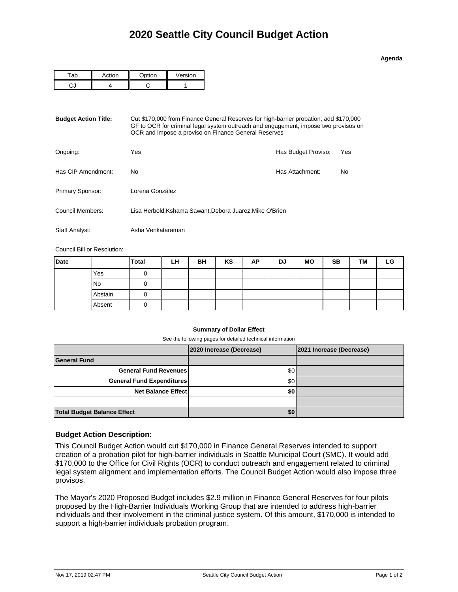**Agenda**

| $\sim$ $\sim$ $\sim$ $\sim$ | $\sim$ $\sim$ $\sim$ $\sim$ $\sim$ | Version |  |  |
|-----------------------------|------------------------------------|---------|--|--|
|                             |                                    |         |  |  |

| <b>Budget Action Title:</b> | Cut \$170,000 from Finance General Reserves for high-barrier probation, add \$170,000<br>GF to OCR for criminal legal system outreach and engagement, impose two provisos on<br>OCR and impose a proviso on Finance General Reserves |                       |     |  |  |  |  |
|-----------------------------|--------------------------------------------------------------------------------------------------------------------------------------------------------------------------------------------------------------------------------------|-----------------------|-----|--|--|--|--|
| Ongoing:                    | Yes                                                                                                                                                                                                                                  | Has Budget Proviso:   | Yes |  |  |  |  |
| Has CIP Amendment:          | No.                                                                                                                                                                                                                                  | Has Attachment:<br>No |     |  |  |  |  |
| Primary Sponsor:            | Lorena González                                                                                                                                                                                                                      |                       |     |  |  |  |  |
| Council Members:            | Lisa Herbold,Kshama Sawant,Debora Juarez,Mike O'Brien                                                                                                                                                                                |                       |     |  |  |  |  |
| Staff Analyst:              | Asha Venkataraman                                                                                                                                                                                                                    |                       |     |  |  |  |  |

Council Bill or Resolution:

| <b>Date</b> |           | <b>Total</b> | LH | BH | KS | AP | <b>DJ</b> | <b>MO</b> | <b>SB</b> | ТM | LG |
|-------------|-----------|--------------|----|----|----|----|-----------|-----------|-----------|----|----|
|             | Yes       |              |    |    |    |    |           |           |           |    |    |
|             | <b>No</b> |              |    |    |    |    |           |           |           |    |    |
|             | Abstain   | O            |    |    |    |    |           |           |           |    |    |
|             | Absent    | U            |    |    |    |    |           |           |           |    |    |

## **Summary of Dollar Effect**

See the following pages for detailed technical information

|                                    | 2020 Increase (Decrease) | 2021 Increase (Decrease) |
|------------------------------------|--------------------------|--------------------------|
| <b>General Fund</b>                |                          |                          |
| <b>General Fund Revenues</b>       | \$0                      |                          |
| <b>General Fund Expenditures</b>   | \$0                      |                          |
| <b>Net Balance Effect</b>          | \$0                      |                          |
|                                    |                          |                          |
| <b>Total Budget Balance Effect</b> | \$0                      |                          |

## **Budget Action Description:**

This Council Budget Action would cut \$170,000 in Finance General Reserves intended to support creation of a probation pilot for high-barrier individuals in Seattle Municipal Court (SMC). It would add \$170,000 to the Office for Civil Rights (OCR) to conduct outreach and engagement related to criminal legal system alignment and implementation efforts. The Council Budget Action would also impose three provisos.

The Mayor's 2020 Proposed Budget includes \$2.9 million in Finance General Reserves for four pilots proposed by the High-Barrier Individuals Working Group that are intended to address high-barrier individuals and their involvement in the criminal justice system. Of this amount, \$170,000 is intended to support a high-barrier individuals probation program.